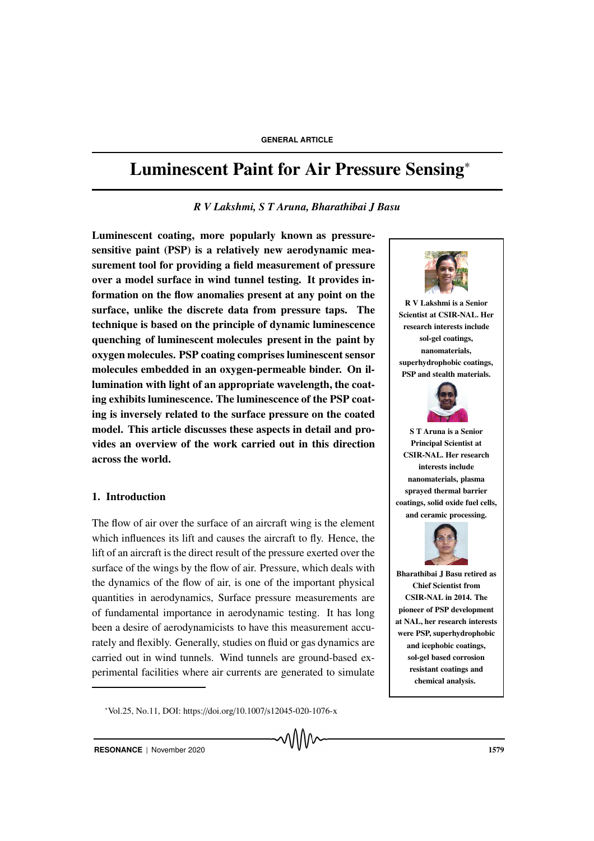# Luminescent Paint for Air Pressure Sensing<sup>∗</sup>

# *R V Lakshmi, S T Aruna, Bharathibai J Basu*

Luminescent coating, more popularly known as pressuresensitive paint (PSP) is a relatively new aerodynamic measurement tool for providing a field measurement of pressure over a model surface in wind tunnel testing. It provides information on the flow anomalies present at any point on the surface, unlike the discrete data from pressure taps. The technique is based on the principle of dynamic luminescence quenching of luminescent molecules present in the paint by oxygen molecules. PSP coating comprises luminescent sensor molecules embedded in an oxygen-permeable binder. On illumination with light of an appropriate wavelength, the coating exhibits luminescence. The luminescence of the PSP coating is inversely related to the surface pressure on the coated model. This article discusses these aspects in detail and provides an overview of the work carried out in this direction across the world.

# 1. Introduction

The flow of air over the surface of an aircraft wing is the element which influences its lift and causes the aircraft to fly. Hence, the lift of an aircraft is the direct result of the pressure exerted over the surface of the wings by the flow of air. Pressure, which deals with the dynamics of the flow of air, is one of the important physical quantities in aerodynamics, Surface pressure measurements are of fundamental importance in aerodynamic testing. It has long been a desire of aerodynamicists to have this measurement accurately and flexibly. Generally, studies on fluid or gas dynamics are carried out in wind tunnels. Wind tunnels are ground-based experimental facilities where air currents are generated to simulate

<sup>∗</sup>Vol.25, No.11, DOI: https://doi.org/10.1007/s12045-020-1076-x

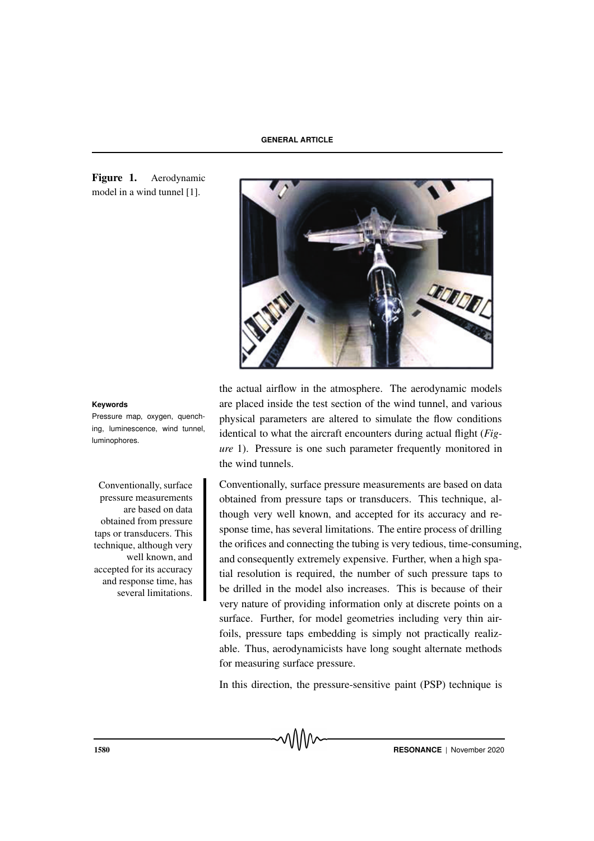Figure 1. Aerodynamic model in a wind tunnel [1].



Pressure map, oxygen, quenching, luminescence, wind tunnel, luminophores.

pressure measurements are based on data obtained from pressure taps or transducers. This technique, although very well known, and accepted for its accuracy and response time, has several limitations.

the actual airflow in the atmosphere. The aerodynamic models **Keywords** are placed inside the test section of the wind tunnel, and various physical parameters are altered to simulate the flow conditions identical to what the aircraft encounters during actual flight (*Figure* 1). Pressure is one such parameter frequently monitored in the wind tunnels.

Conventionally, surface Conventionally, surface pressure measurements are based on data obtained from pressure taps or transducers. This technique, although very well known, and accepted for its accuracy and response time, has several limitations. The entire process of drilling the orifices and connecting the tubing is very tedious, time-consuming, and consequently extremely expensive. Further, when a high spatial resolution is required, the number of such pressure taps to be drilled in the model also increases. This is because of their very nature of providing information only at discrete points on a surface. Further, for model geometries including very thin airfoils, pressure taps embedding is simply not practically realizable. Thus, aerodynamicists have long sought alternate methods for measuring surface pressure.

In this direction, the pressure-sensitive paint (PSP) technique is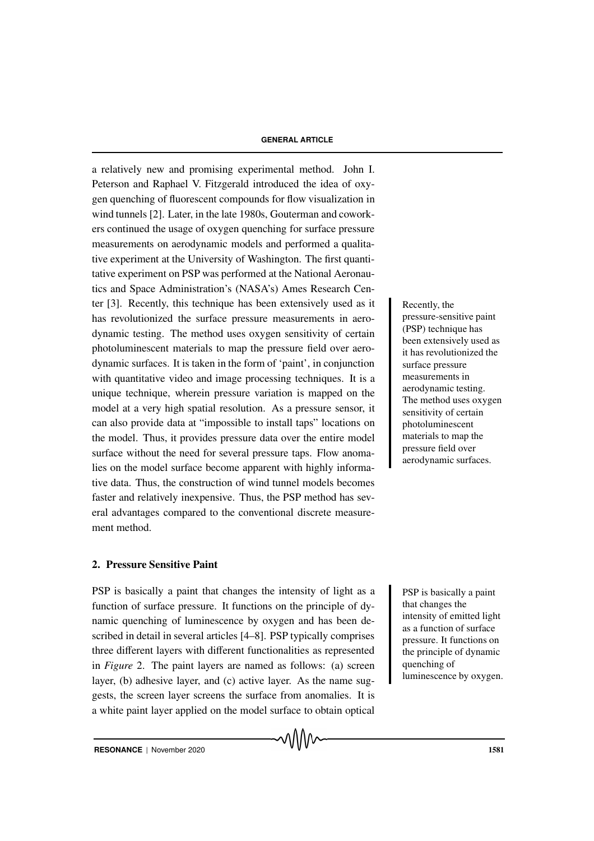a relatively new and promising experimental method. John I. Peterson and Raphael V. Fitzgerald introduced the idea of oxygen quenching of fluorescent compounds for flow visualization in wind tunnels [2]. Later, in the late 1980s, Gouterman and coworkers continued the usage of oxygen quenching for surface pressure measurements on aerodynamic models and performed a qualitative experiment at the University of Washington. The first quantitative experiment on PSP was performed at the National Aeronautics and Space Administration's (NASA's) Ames Research Center [3]. Recently, this technique has been extensively used as it Recently, the has revolutionized the surface pressure measurements in aerodynamic testing. The method uses oxygen sensitivity of certain photoluminescent materials to map the pressure field over aerodynamic surfaces. It is taken in the form of 'paint', in conjunction with quantitative video and image processing techniques. It is a unique technique, wherein pressure variation is mapped on the model at a very high spatial resolution. As a pressure sensor, it can also provide data at "impossible to install taps" locations on the model. Thus, it provides pressure data over the entire model surface without the need for several pressure taps. Flow anomalies on the model surface become apparent with highly informative data. Thus, the construction of wind tunnel models becomes faster and relatively inexpensive. Thus, the PSP method has several advantages compared to the conventional discrete measurement method.

# 2. Pressure Sensitive Paint

PSP is basically a paint that changes the intensity of light as a **PSP** is basically a paint function of surface pressure. It functions on the principle of dynamic quenching of luminescence by oxygen and has been described in detail in several articles [4–8]. PSP typically comprises three different layers with different functionalities as represented in *Figure* 2. The paint layers are named as follows: (a) screen layer, (b) adhesive layer, and (c) active layer. As the name suggests, the screen layer screens the surface from anomalies. It is a white paint layer applied on the model surface to obtain optical

√∖∧∧∼

pressure-sensitive paint (PSP) technique has been extensively used as it has revolutionized the surface pressure measurements in aerodynamic testing. The method uses oxygen sensitivity of certain photoluminescent materials to map the pressure field over aerodynamic surfaces.

that changes the intensity of emitted light as a function of surface pressure. It functions on the principle of dynamic quenching of luminescence by oxygen.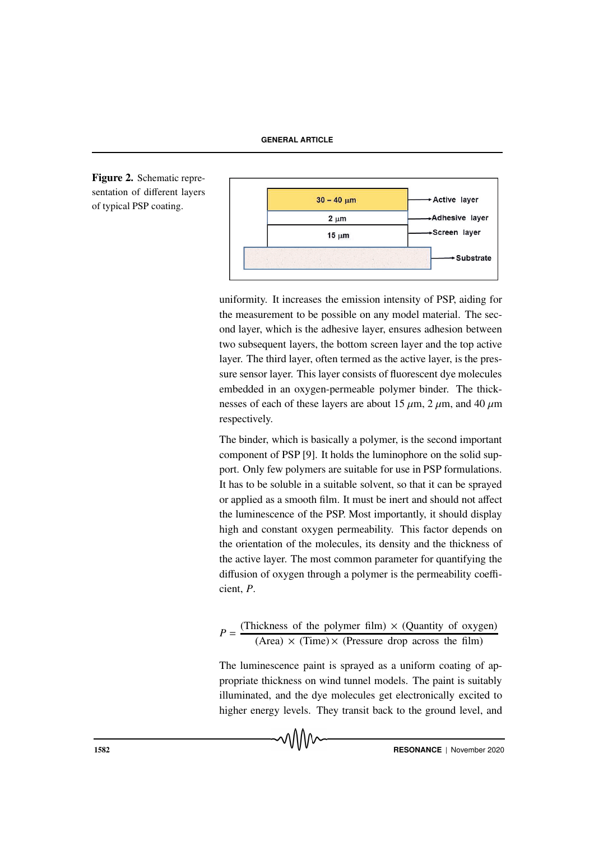**GENERAL ARTICLE**





uniformity. It increases the emission intensity of PSP, aiding for the measurement to be possible on any model material. The second layer, which is the adhesive layer, ensures adhesion between two subsequent layers, the bottom screen layer and the top active layer. The third layer, often termed as the active layer, is the pressure sensor layer. This layer consists of fluorescent dye molecules embedded in an oxygen-permeable polymer binder. The thicknesses of each of these layers are about 15  $\mu$ m, 2  $\mu$ m, and 40  $\mu$ m respectively.

The binder, which is basically a polymer, is the second important component of PSP [9]. It holds the luminophore on the solid support. Only few polymers are suitable for use in PSP formulations. It has to be soluble in a suitable solvent, so that it can be sprayed or applied as a smooth film. It must be inert and should not affect the luminescence of the PSP. Most importantly, it should display high and constant oxygen permeability. This factor depends on the orientation of the molecules, its density and the thickness of the active layer. The most common parameter for quantifying the diffusion of oxygen through a polymer is the permeability coefficient, *P*.

$$
P = \frac{\text{(Thichness of the polymer film)} \times \text{(Quantity of oxygen)}}{\text{(Area)} \times \text{(Time)} \times \text{(Pressure drop across the film)}}
$$

The luminescence paint is sprayed as a uniform coating of appropriate thickness on wind tunnel models. The paint is suitably illuminated, and the dye molecules get electronically excited to higher energy levels. They transit back to the ground level, and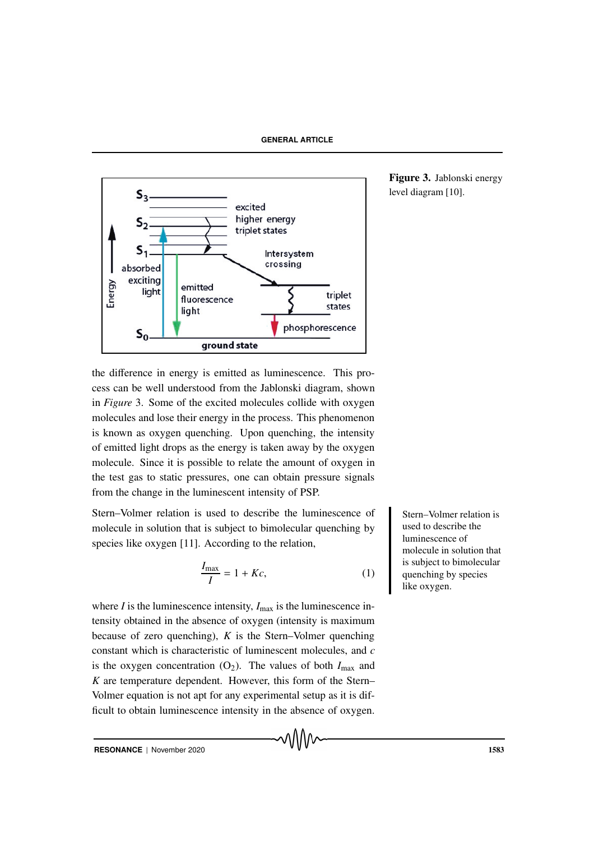

Figure 3. Jablonski energy level diagram [10].

the difference in energy is emitted as luminescence. This process can be well understood from the Jablonski diagram, shown in *Figure* 3. Some of the excited molecules collide with oxygen molecules and lose their energy in the process. This phenomenon is known as oxygen quenching. Upon quenching, the intensity of emitted light drops as the energy is taken away by the oxygen molecule. Since it is possible to relate the amount of oxygen in the test gas to static pressures, one can obtain pressure signals from the change in the luminescent intensity of PSP.

Stern–Volmer relation is used to describe the luminescence of Stern–Volmer relation is molecule in solution that is subject to bimolecular quenching by species like oxygen [11]. According to the relation,

$$
\frac{I_{\text{max}}}{I} = 1 + Kc,\tag{1}
$$

where  $I$  is the luminescence intensity,  $I_{\text{max}}$  is the luminescence intensity obtained in the absence of oxygen (intensity is maximum because of zero quenching), *K* is the Stern–Volmer quenching constant which is characteristic of luminescent molecules, and *c* is the oxygen concentration  $(O_2)$ . The values of both  $I_{\text{max}}$  and *K* are temperature dependent. However, this form of the Stern– Volmer equation is not apt for any experimental setup as it is difficult to obtain luminescence intensity in the absence of oxygen.

used to describe the luminescence of molecule in solution that is subject to bimolecular quenching by species like oxygen.

**RESONANCE** | November 2020 1583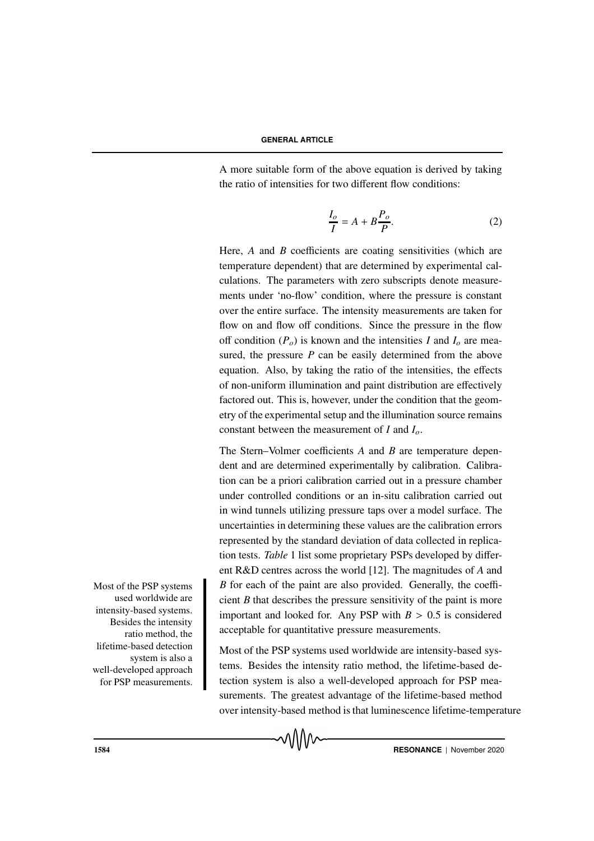A more suitable form of the above equation is derived by taking the ratio of intensities for two different flow conditions:

$$
\frac{I_o}{I} = A + B \frac{P_o}{P}.
$$
 (2)

Here, *A* and *B* coefficients are coating sensitivities (which are temperature dependent) that are determined by experimental calculations. The parameters with zero subscripts denote measurements under 'no-flow' condition, where the pressure is constant over the entire surface. The intensity measurements are taken for flow on and flow off conditions. Since the pressure in the flow off condition  $(P_o)$  is known and the intensities *I* and  $I_o$  are measured, the pressure *P* can be easily determined from the above equation. Also, by taking the ratio of the intensities, the effects of non-uniform illumination and paint distribution are effectively factored out. This is, however, under the condition that the geometry of the experimental setup and the illumination source remains constant between the measurement of *I* and *Io*.

The Stern–Volmer coefficients *A* and *B* are temperature dependent and are determined experimentally by calibration. Calibration can be a priori calibration carried out in a pressure chamber under controlled conditions or an in-situ calibration carried out in wind tunnels utilizing pressure taps over a model surface. The uncertainties in determining these values are the calibration errors represented by the standard deviation of data collected in replication tests. *Table* 1 list some proprietary PSPs developed by different R&D centres across the world [12]. The magnitudes of *A* and  $B$  for each of the paint are also provided. Generally, the coefficient *B* that describes the pressure sensitivity of the paint is more important and looked for. Any PSP with  $B > 0.5$  is considered acceptable for quantitative pressure measurements.

Most of the PSP systems used worldwide are intensity-based systems. Besides the intensity ratio method, the lifetime-based detection system is also a well-developed approach for PSP measurements. The greatest advantage of the lifetime-based method over intensity-based method is that luminescence lifetime-temperature



used worldwide are intensity-based systems. Besides the intensity ratio method, the lifetime-based detection system is also a well-developed approach for PSP measurements.

Most of the PSP systems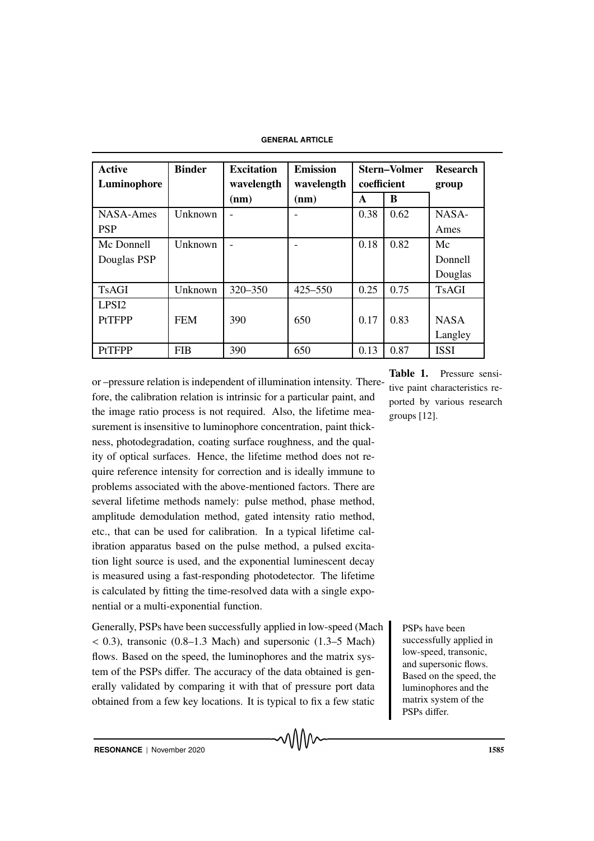**GENERAL ARTICLE**

| <b>Active</b><br>Luminophore | <b>Binder</b> | <b>Excitation</b><br>wavelength | <b>Emission</b><br>wavelength | <b>Stern–Volmer</b><br>coefficient |      | <b>Research</b><br>group |
|------------------------------|---------------|---------------------------------|-------------------------------|------------------------------------|------|--------------------------|
|                              |               | (nm)                            | (nm)                          | A                                  | B    |                          |
| <b>NASA-Ames</b>             | Unknown       |                                 |                               | 0.38                               | 0.62 | NASA-                    |
| <b>PSP</b>                   |               |                                 |                               |                                    |      | Ames                     |
| Mc Donnell                   | Unknown       |                                 |                               | 0.18                               | 0.82 | Mc                       |
| Douglas PSP                  |               |                                 |                               |                                    |      | Donnell                  |
|                              |               |                                 |                               |                                    |      | Douglas                  |
| <b>TsAGI</b>                 | Unknown       | 320-350                         | 425-550                       | 0.25                               | 0.75 | <b>TsAGI</b>             |
| LPS <sub>I2</sub>            |               |                                 |                               |                                    |      |                          |
| <b>PtTFPP</b>                | <b>FEM</b>    | 390                             | 650                           | 0.17                               | 0.83 | <b>NASA</b>              |
|                              |               |                                 |                               |                                    |      | Langley                  |
| <b>PtTFPP</b>                | <b>FIB</b>    | 390                             | 650                           | 0.13                               | 0.87 | <b>ISSI</b>              |

or –pressure relation is independent of illumination intensity. Therefore, the calibration relation is intrinsic for a particular paint, and the image ratio process is not required. Also, the lifetime measurement is insensitive to luminophore concentration, paint thickness, photodegradation, coating surface roughness, and the quality of optical surfaces. Hence, the lifetime method does not require reference intensity for correction and is ideally immune to problems associated with the above-mentioned factors. There are several lifetime methods namely: pulse method, phase method, amplitude demodulation method, gated intensity ratio method, etc., that can be used for calibration. In a typical lifetime calibration apparatus based on the pulse method, a pulsed excitation light source is used, and the exponential luminescent decay is measured using a fast-responding photodetector. The lifetime is calculated by fitting the time-resolved data with a single exponential or a multi-exponential function.

Generally, PSPs have been successfully applied in low-speed (Mach PSPs have been  $(0.3)$ , transonic  $(0.8-1.3 \text{ Mach})$  and supersonic  $(1.3-5 \text{ Mach})$ flows. Based on the speed, the luminophores and the matrix system of the PSPs differ. The accuracy of the data obtained is generally validated by comparing it with that of pressure port data obtained from a few key locations. It is typical to fix a few static

Table 1. Pressure sensitive paint characteristics reported by various research groups [12].

> successfully applied in low-speed, transonic, and supersonic flows. Based on the speed, the luminophores and the matrix system of the PSPs differ.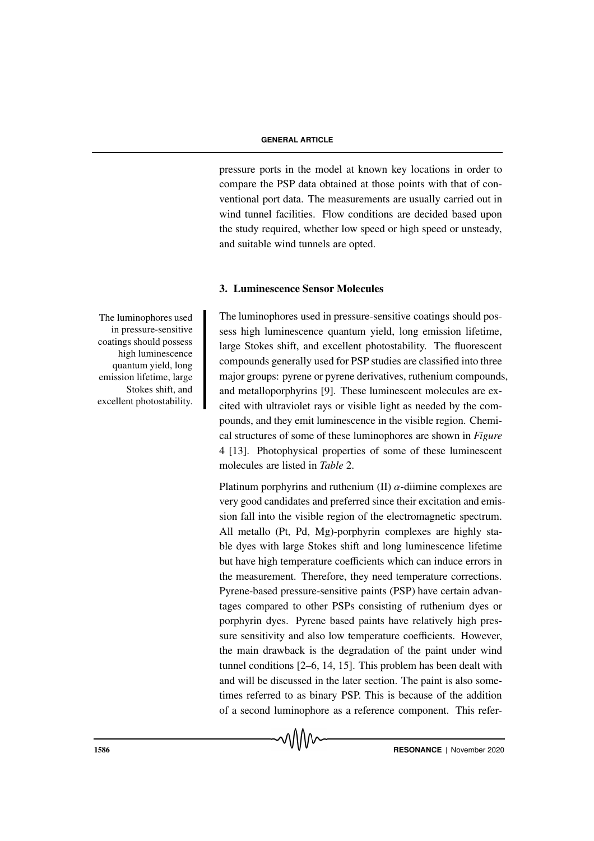pressure ports in the model at known key locations in order to compare the PSP data obtained at those points with that of conventional port data. The measurements are usually carried out in wind tunnel facilities. Flow conditions are decided based upon the study required, whether low speed or high speed or unsteady, and suitable wind tunnels are opted.

# 3. Luminescence Sensor Molecules

The luminophores used in pressure-sensitive coatings should possess high luminescence quantum yield, long emission lifetime, large Stokes shift, and excellent photostability. The fluorescent compounds generally used for PSP studies are classified into three major groups: pyrene or pyrene derivatives, ruthenium compounds, and metalloporphyrins [9]. These luminescent molecules are excited with ultraviolet rays or visible light as needed by the compounds, and they emit luminescence in the visible region. Chemical structures of some of these luminophores are shown in *Figure* 4 [13]. Photophysical properties of some of these luminescent molecules are listed in *Table* 2.

Platinum porphyrins and ruthenium (II)  $\alpha$ -diimine complexes are very good candidates and preferred since their excitation and emission fall into the visible region of the electromagnetic spectrum. All metallo (Pt, Pd, Mg)-porphyrin complexes are highly stable dyes with large Stokes shift and long luminescence lifetime but have high temperature coefficients which can induce errors in the measurement. Therefore, they need temperature corrections. Pyrene-based pressure-sensitive paints (PSP) have certain advantages compared to other PSPs consisting of ruthenium dyes or porphyrin dyes. Pyrene based paints have relatively high pressure sensitivity and also low temperature coefficients. However, the main drawback is the degradation of the paint under wind tunnel conditions [2–6, 14, 15]. This problem has been dealt with and will be discussed in the later section. The paint is also sometimes referred to as binary PSP. This is because of the addition of a second luminophore as a reference component. This refer-

The luminophores used in pressure-sensitive coatings should possess high luminescence quantum yield, long emission lifetime, large Stokes shift, and excellent photostability.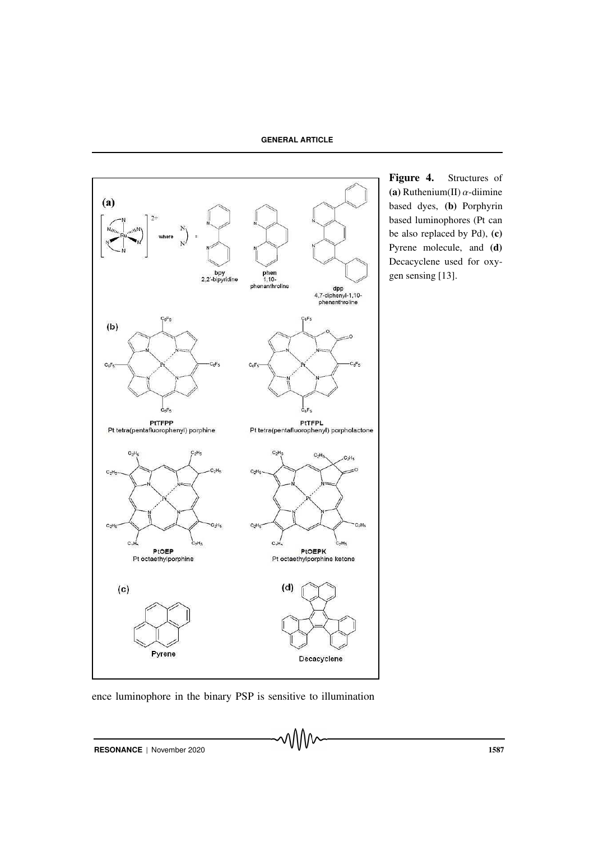**GENERAL ARTICLE**



ence luminophore in the binary PSP is sensitive to illumination

Figure 4. Structures of (a) Ruthenium(II)  $\alpha$ -diimine based dyes, (b) Porphyrin based luminophores (Pt can be also replaced by Pd), (c) Pyrene molecule, and (d) Decacyclene used for oxygen sensing [13].

**RESONANCE** | November 2020 1587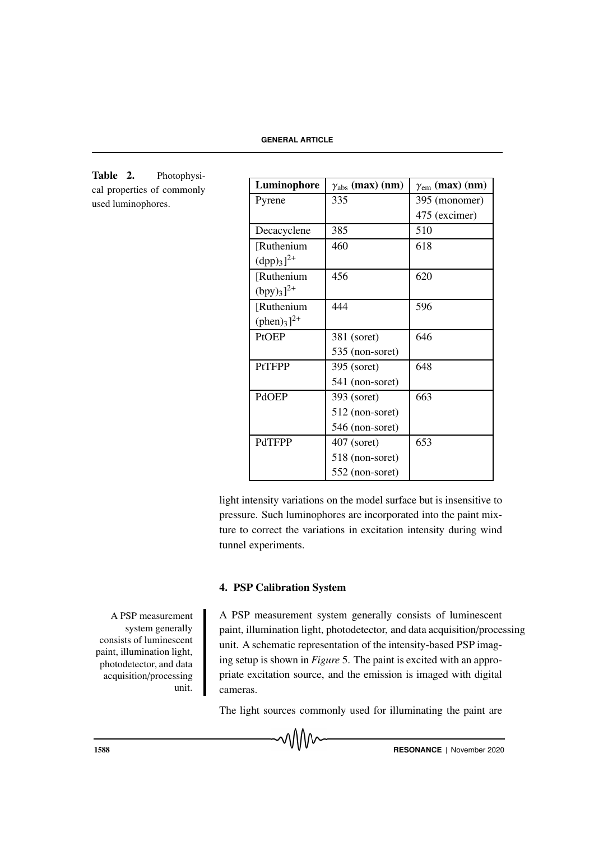Table 2. Photophysical properties of commonly used luminophores.

| Luminophore               | $\gamma_{\text{abs}}$ (max) (nm) | $\gamma_{\rm em}$ (max) (nm) |  |  |
|---------------------------|----------------------------------|------------------------------|--|--|
| Pyrene                    | 335                              | 395 (monomer)                |  |  |
|                           |                                  | 475 (excimer)                |  |  |
| Decacyclene               | 385                              | 510                          |  |  |
| [Ruthenium                | 460                              | 618                          |  |  |
| $(dpp)_{3}]^{2+}$         |                                  |                              |  |  |
| [Ruthenium                | 456                              | 620                          |  |  |
| $(bpy)_{3}$ <sup>2+</sup> |                                  |                              |  |  |
| [Ruthenium                | 444                              | 596                          |  |  |
| $(phen)_3]^{2+}$          |                                  |                              |  |  |
| PtOEP                     | 381 (soret)                      | 646                          |  |  |
|                           | 535 (non-soret)                  |                              |  |  |
| <b>PtTFPP</b>             | 395 (soret)                      | 648                          |  |  |
|                           | 541 (non-soret)                  |                              |  |  |
| <b>PdOEP</b>              | 393 (soret)                      | 663                          |  |  |
|                           | 512 (non-soret)                  |                              |  |  |
|                           | 546 (non-soret)                  |                              |  |  |
| <b>PdTFPP</b>             | $407$ (soret)                    | 653                          |  |  |
|                           | 518 (non-soret)                  |                              |  |  |
|                           | 552 (non-soret)                  |                              |  |  |

light intensity variations on the model surface but is insensitive to pressure. Such luminophores are incorporated into the paint mixture to correct the variations in excitation intensity during wind tunnel experiments.

# 4. PSP Calibration System

A PSP measurement system generally consists of luminescent paint, illumination light, photodetector, and data acquisition/processing unit.

PSP measurement system generally consists of luminescent paint, illumination light, photodetector, and data acquisition/processing unit. A schematic representation of the intensity-based PSP imaging setup is shown in *Figure* 5. The paint is excited with an appropriate excitation source, and the emission is imaged with digital cameras.

The light sources commonly used for illuminating the paint are

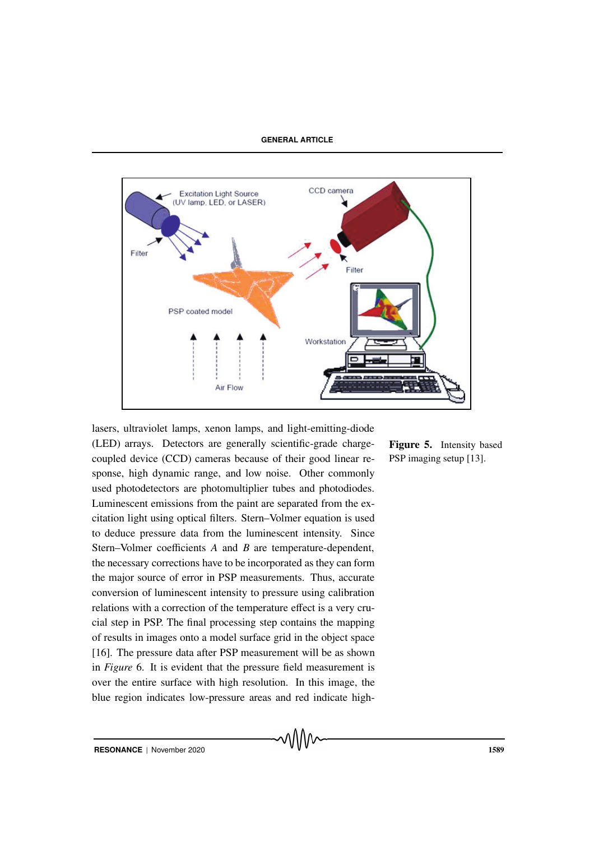

lasers, ultraviolet lamps, xenon lamps, and light-emitting-diode (LED) arrays. Detectors are generally scientific-grade chargecoupled device (CCD) cameras because of their good linear response, high dynamic range, and low noise. Other commonly used photodetectors are photomultiplier tubes and photodiodes. Luminescent emissions from the paint are separated from the excitation light using optical filters. Stern–Volmer equation is used to deduce pressure data from the luminescent intensity. Since Stern–Volmer coefficients *A* and *B* are temperature-dependent, the necessary corrections have to be incorporated as they can form the major source of error in PSP measurements. Thus, accurate conversion of luminescent intensity to pressure using calibration relations with a correction of the temperature effect is a very crucial step in PSP. The final processing step contains the mapping of results in images onto a model surface grid in the object space [16]. The pressure data after PSP measurement will be as shown in *Figure* 6. It is evident that the pressure field measurement is over the entire surface with high resolution. In this image, the blue region indicates low-pressure areas and red indicate high-

Figure 5. Intensity based PSP imaging setup [13].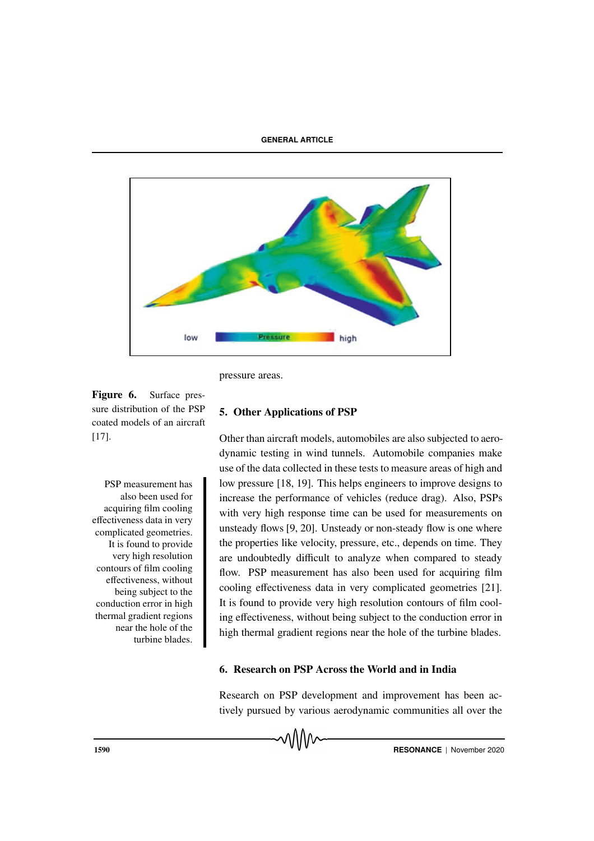

pressure areas.

Figure 6. Surface pressure distribution of the PSP coated models of an aircraft [17].

also been used for acquiring film cooling effectiveness data in very complicated geometries. It is found to provide very high resolution contours of film cooling effectiveness, without being subject to the conduction error in high thermal gradient regions near the hole of the turbine blades.

# 5. Other Applications of PSP

Other than aircraft models, automobiles are also subjected to aerodynamic testing in wind tunnels. Automobile companies make use of the data collected in these tests to measure areas of high and PSP measurement has low pressure [18, 19]. This helps engineers to improve designs to increase the performance of vehicles (reduce drag). Also, PSPs with very high response time can be used for measurements on unsteady flows [9, 20]. Unsteady or non-steady flow is one where the properties like velocity, pressure, etc., depends on time. They are undoubtedly difficult to analyze when compared to steady flow. PSP measurement has also been used for acquiring film cooling effectiveness data in very complicated geometries [21]. It is found to provide very high resolution contours of film cooling effectiveness, without being subject to the conduction error in high thermal gradient regions near the hole of the turbine blades.

# 6. Research on PSP Across the World and in India

Research on PSP development and improvement has been actively pursued by various aerodynamic communities all over the

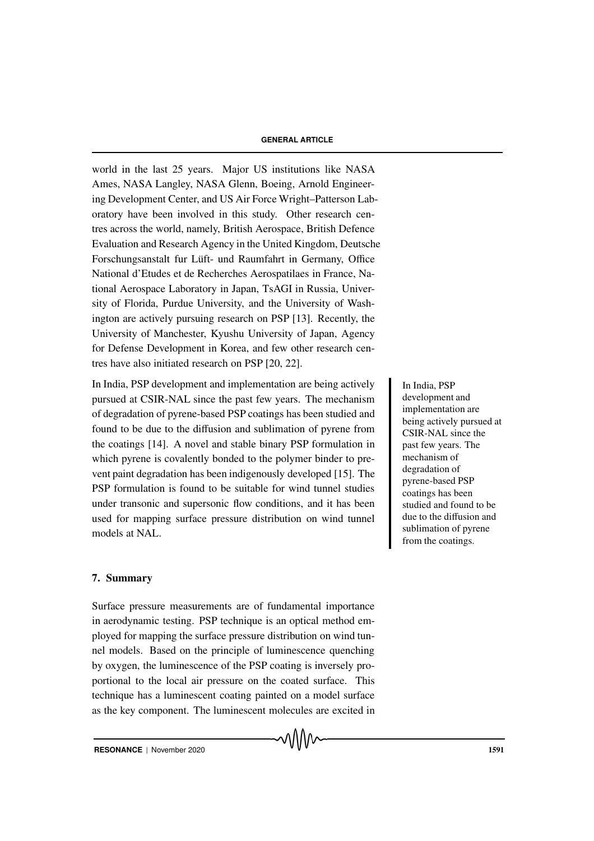world in the last 25 years. Major US institutions like NASA Ames, NASA Langley, NASA Glenn, Boeing, Arnold Engineering Development Center, and US Air Force Wright–Patterson Laboratory have been involved in this study. Other research centres across the world, namely, British Aerospace, British Defence Evaluation and Research Agency in the United Kingdom, Deutsche Forschungsanstalt fur Lüft- und Raumfahrt in Germany, Office National d'Etudes et de Recherches Aerospatilaes in France, National Aerospace Laboratory in Japan, TsAGI in Russia, University of Florida, Purdue University, and the University of Washington are actively pursuing research on PSP [13]. Recently, the University of Manchester, Kyushu University of Japan, Agency for Defense Development in Korea, and few other research centres have also initiated research on PSP [20, 22].

In India, PSP development and implementation are being actively In India, PSP pursued at CSIR-NAL since the past few years. The mechanism of degradation of pyrene-based PSP coatings has been studied and found to be due to the diffusion and sublimation of pyrene from the coatings [14]. A novel and stable binary PSP formulation in which pyrene is covalently bonded to the polymer binder to prevent paint degradation has been indigenously developed [15]. The PSP formulation is found to be suitable for wind tunnel studies under transonic and supersonic flow conditions, and it has been used for mapping surface pressure distribution on wind tunnel models at NAL.

# 7. Summary

Surface pressure measurements are of fundamental importance in aerodynamic testing. PSP technique is an optical method employed for mapping the surface pressure distribution on wind tunnel models. Based on the principle of luminescence quenching by oxygen, the luminescence of the PSP coating is inversely proportional to the local air pressure on the coated surface. This technique has a luminescent coating painted on a model surface as the key component. The luminescent molecules are excited in development and implementation are being actively pursued at CSIR-NAL since the past few years. The mechanism of degradation of pyrene-based PSP coatings has been studied and found to be due to the diffusion and sublimation of pyrene from the coatings.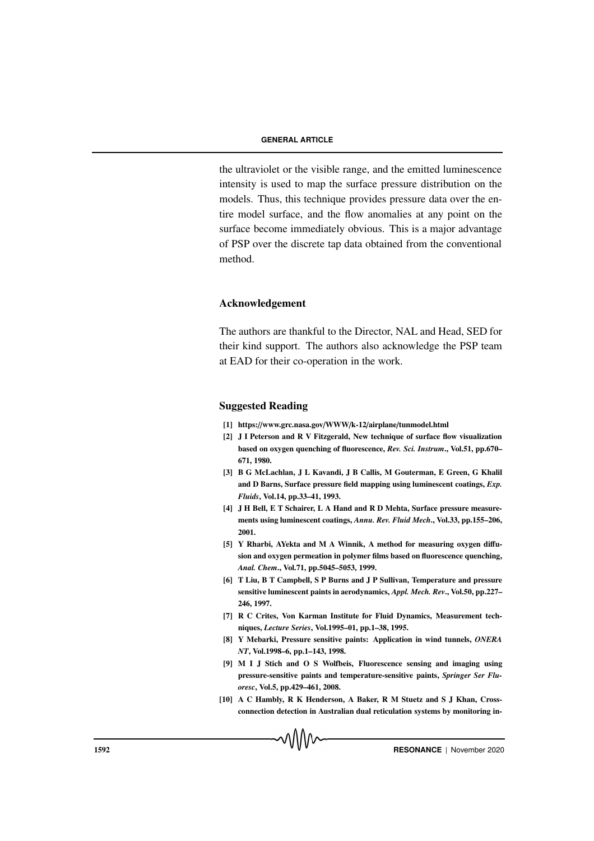the ultraviolet or the visible range, and the emitted luminescence intensity is used to map the surface pressure distribution on the models. Thus, this technique provides pressure data over the entire model surface, and the flow anomalies at any point on the surface become immediately obvious. This is a major advantage of PSP over the discrete tap data obtained from the conventional method.

# Acknowledgement

The authors are thankful to the Director, NAL and Head, SED for their kind support. The authors also acknowledge the PSP team at EAD for their co-operation in the work.

# Suggested Reading

- [1] https://www.grc.nasa.gov/WWW/k-12/airplane/tunmodel.html
- [2] J I Peterson and R V Fitzgerald, New technique of surface flow visualization based on oxygen quenching of fluorescence, *Rev. Sci. Instrum*., Vol.51, pp.670– 671, 1980.
- [3] B G McLachlan, J L Kavandi, J B Callis, M Gouterman, E Green, G Khalil and D Barns, Surface pressure field mapping using luminescent coatings, *Exp. Fluids*, Vol.14, pp.33–41, 1993.
- [4] J H Bell, E T Schairer, L A Hand and R D Mehta, Surface pressure measurements using luminescent coatings, *Annu. Rev. Fluid Mech*., Vol.33, pp.155–206, 2001.
- [5] Y Rharbi, AYekta and M A Winnik, A method for measuring oxygen diffusion and oxygen permeation in polymer films based on fluorescence quenching, *Anal. Chem*., Vol.71, pp.5045–5053, 1999.
- [6] T Liu, B T Campbell, S P Burns and J P Sullivan, Temperature and pressure sensitive luminescent paints in aerodynamics, *Appl. Mech. Rev*., Vol.50, pp.227– 246, 1997.
- [7] R C Crites, Von Karman Institute for Fluid Dynamics, Measurement techniques, *Lecture Series*, Vol.1995–01, pp.1–38, 1995.
- [8] Y Mebarki, Pressure sensitive paints: Application in wind tunnels, *ONERA NT*, Vol.1998–6, pp.1–143, 1998.
- [9] M I J Stich and O S Wolfbeis, Fluorescence sensing and imaging using pressure-sensitive paints and temperature-sensitive paints, *Springer Ser Fluoresc*, Vol.5, pp.429–461, 2008.
- [10] A C Hambly, R K Henderson, A Baker, R M Stuetz and S J Khan, Crossconnection detection in Australian dual reticulation systems by monitoring in-